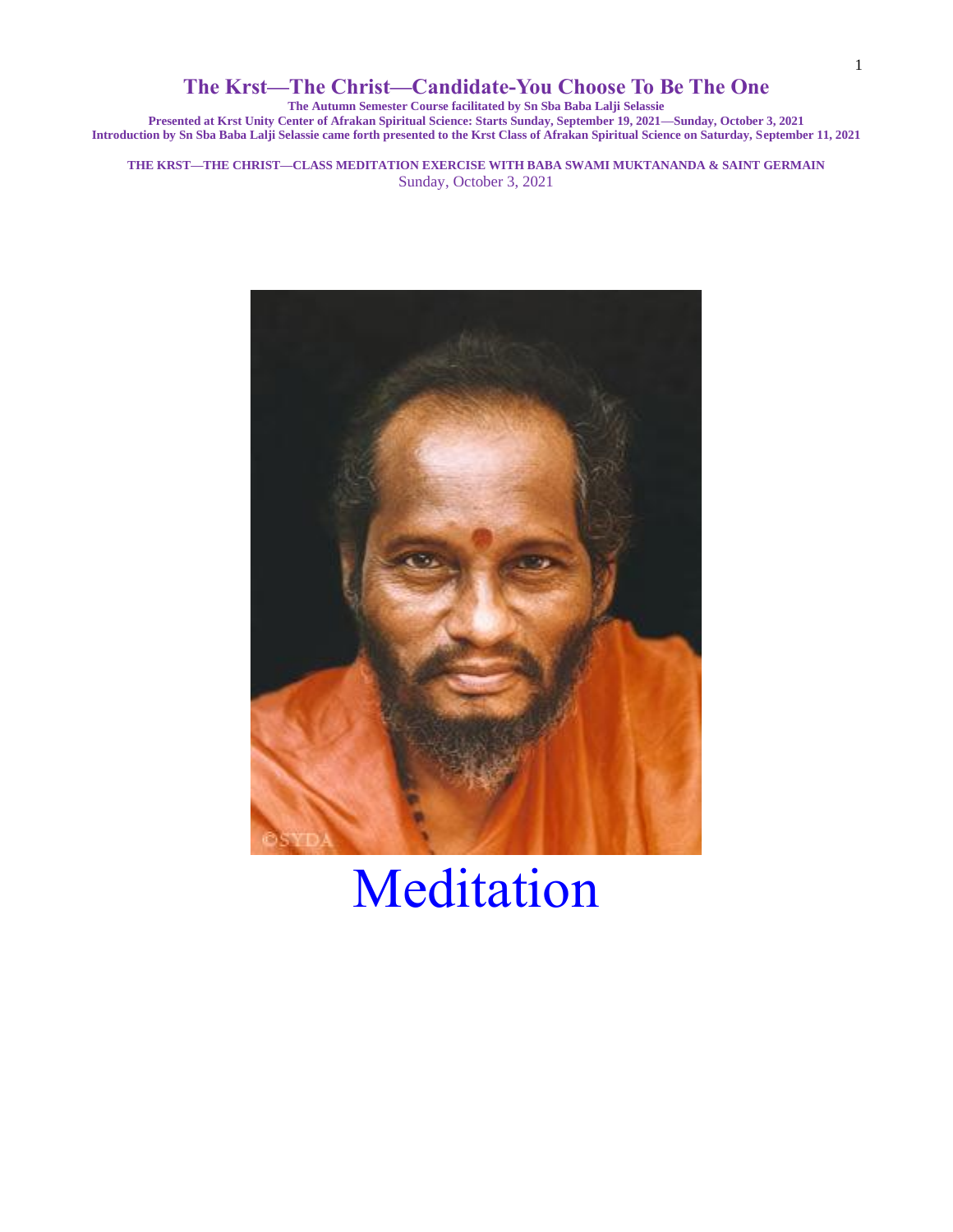**The Autumn Semester Course facilitated by Sn Sba Baba Lalji Selassie**

**Presented at Krst Unity Center of Afrakan Spiritual Science: Starts Sunday, September 19, 2021—Sunday, October 3, 2021 Introduction by Sn Sba Baba Lalji Selassie came forth presented to the Krst Class of Afrakan Spiritual Science on Saturday, September 11, 2021**

**THE KRST—THE CHRIST—CLASS MEDITATION EXERCISE WITH BABA SWAMI MUKTANANDA & SAINT GERMAIN** Sunday, October 3, 2021



# Meditation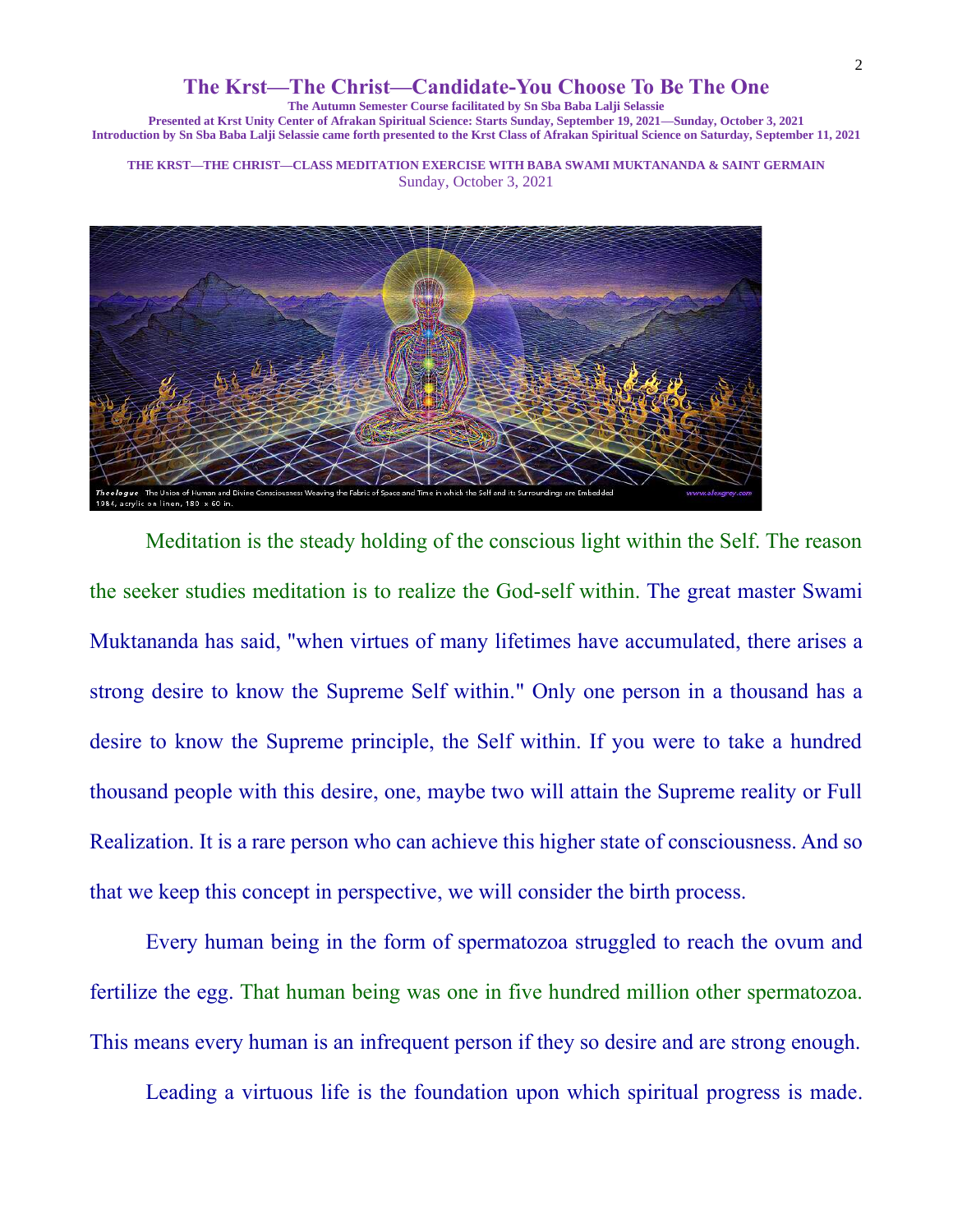**The Autumn Semester Course facilitated by Sn Sba Baba Lalji Selassie**

**Presented at Krst Unity Center of Afrakan Spiritual Science: Starts Sunday, September 19, 2021—Sunday, October 3, 2021 Introduction by Sn Sba Baba Lalji Selassie came forth presented to the Krst Class of Afrakan Spiritual Science on Saturday, September 11, 2021**

**THE KRST—THE CHRIST—CLASS MEDITATION EXERCISE WITH BABA SWAMI MUKTANANDA & SAINT GERMAIN** Sunday, October 3, 2021



Meditation is the steady holding of the conscious light within the Self. The reason the seeker studies meditation is to realize the God-self within. The great master Swami Muktananda has said, "when virtues of many lifetimes have accumulated, there arises a strong desire to know the Supreme Self within." Only one person in a thousand has a desire to know the Supreme principle, the Self within. If you were to take a hundred thousand people with this desire, one, maybe two will attain the Supreme reality or Full Realization. It is a rare person who can achieve this higher state of consciousness. And so that we keep this concept in perspective, we will consider the birth process.

Every human being in the form of spermatozoa struggled to reach the ovum and fertilize the egg. That human being was one in five hundred million other spermatozoa. This means every human is an infrequent person if they so desire and are strong enough.

Leading a virtuous life is the foundation upon which spiritual progress is made.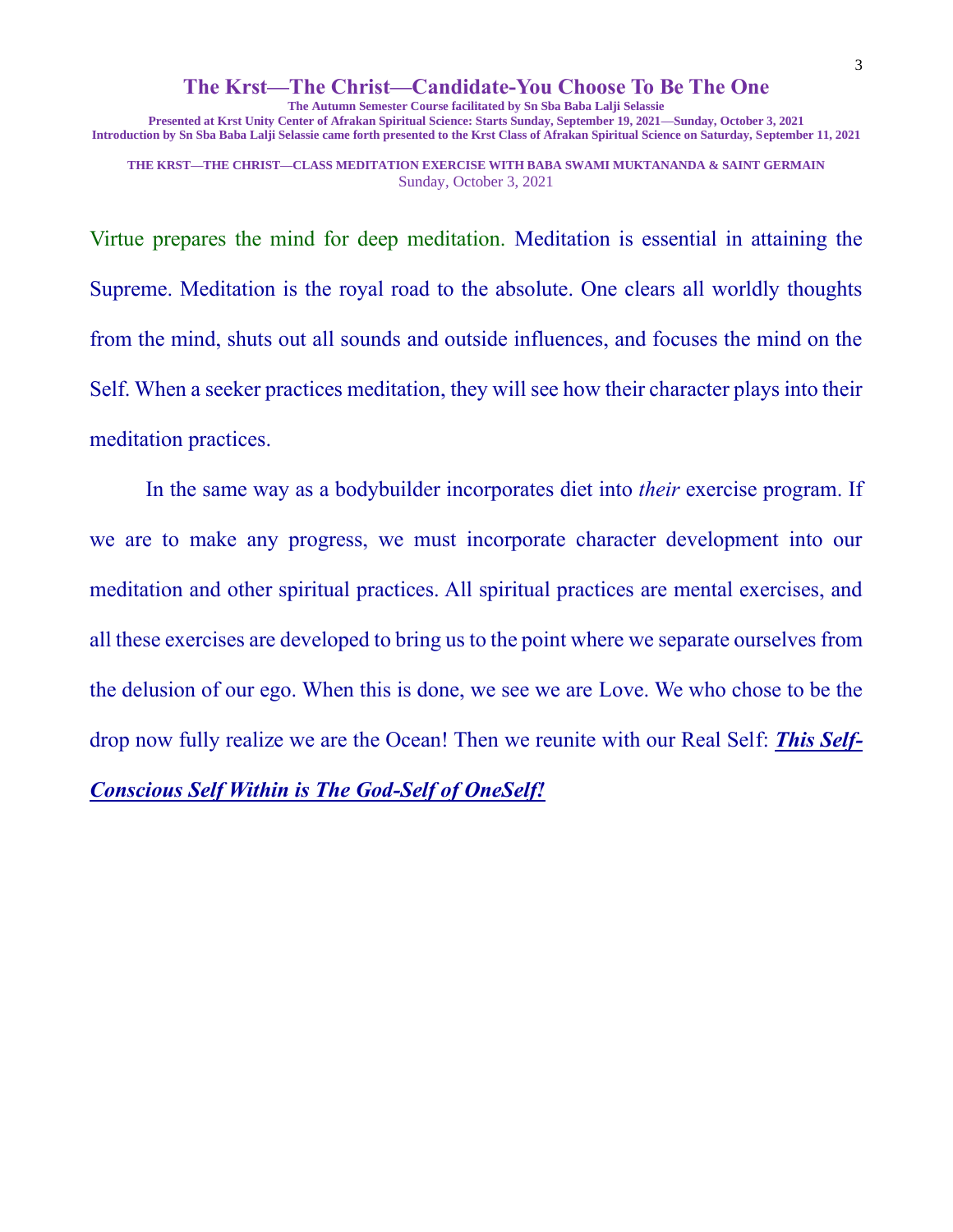**The Autumn Semester Course facilitated by Sn Sba Baba Lalji Selassie**

**Presented at Krst Unity Center of Afrakan Spiritual Science: Starts Sunday, September 19, 2021—Sunday, October 3, 2021 Introduction by Sn Sba Baba Lalji Selassie came forth presented to the Krst Class of Afrakan Spiritual Science on Saturday, September 11, 2021**

**THE KRST—THE CHRIST—CLASS MEDITATION EXERCISE WITH BABA SWAMI MUKTANANDA & SAINT GERMAIN** Sunday, October 3, 2021

Virtue prepares the mind for deep meditation. Meditation is essential in attaining the Supreme. Meditation is the royal road to the absolute. One clears all worldly thoughts from the mind, shuts out all sounds and outside influences, and focuses the mind on the Self. When a seeker practices meditation, they will see how their character plays into their meditation practices.

In the same way as a bodybuilder incorporates diet into *their* exercise program. If we are to make any progress, we must incorporate character development into our meditation and other spiritual practices. All spiritual practices are mental exercises, and all these exercises are developed to bring us to the point where we separate ourselves from the delusion of our ego. When this is done, we see we are Love. We who chose to be the drop now fully realize we are the Ocean! Then we reunite with our Real Self: *This Self-Conscious Self Within is The God-Self of OneSelf!*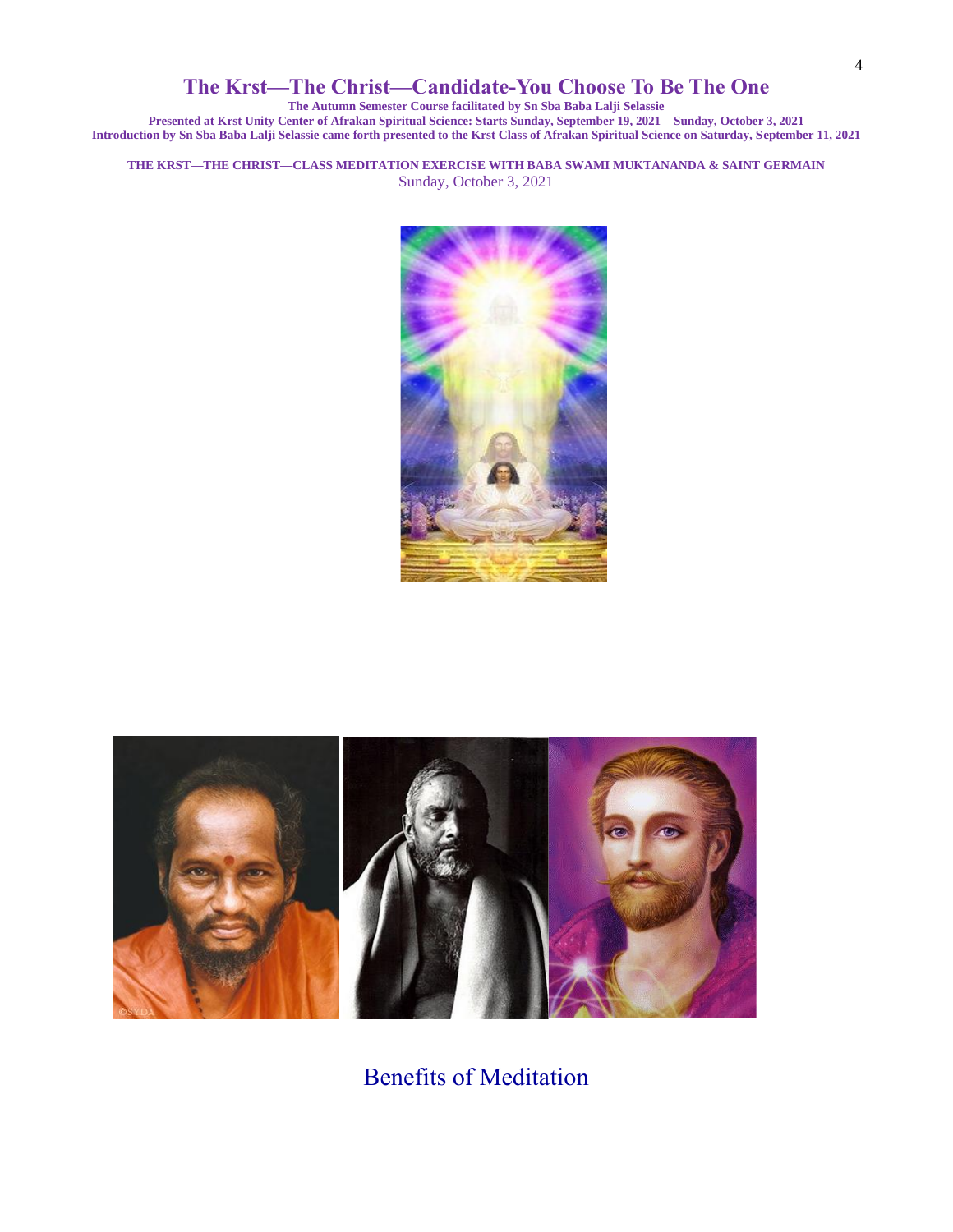**The Autumn Semester Course facilitated by Sn Sba Baba Lalji Selassie**

**Presented at Krst Unity Center of Afrakan Spiritual Science: Starts Sunday, September 19, 2021—Sunday, October 3, 2021 Introduction by Sn Sba Baba Lalji Selassie came forth presented to the Krst Class of Afrakan Spiritual Science on Saturday, September 11, 2021**

**THE KRST—THE CHRIST—CLASS MEDITATION EXERCISE WITH BABA SWAMI MUKTANANDA & SAINT GERMAIN** Sunday, October 3, 2021





Benefits of Meditation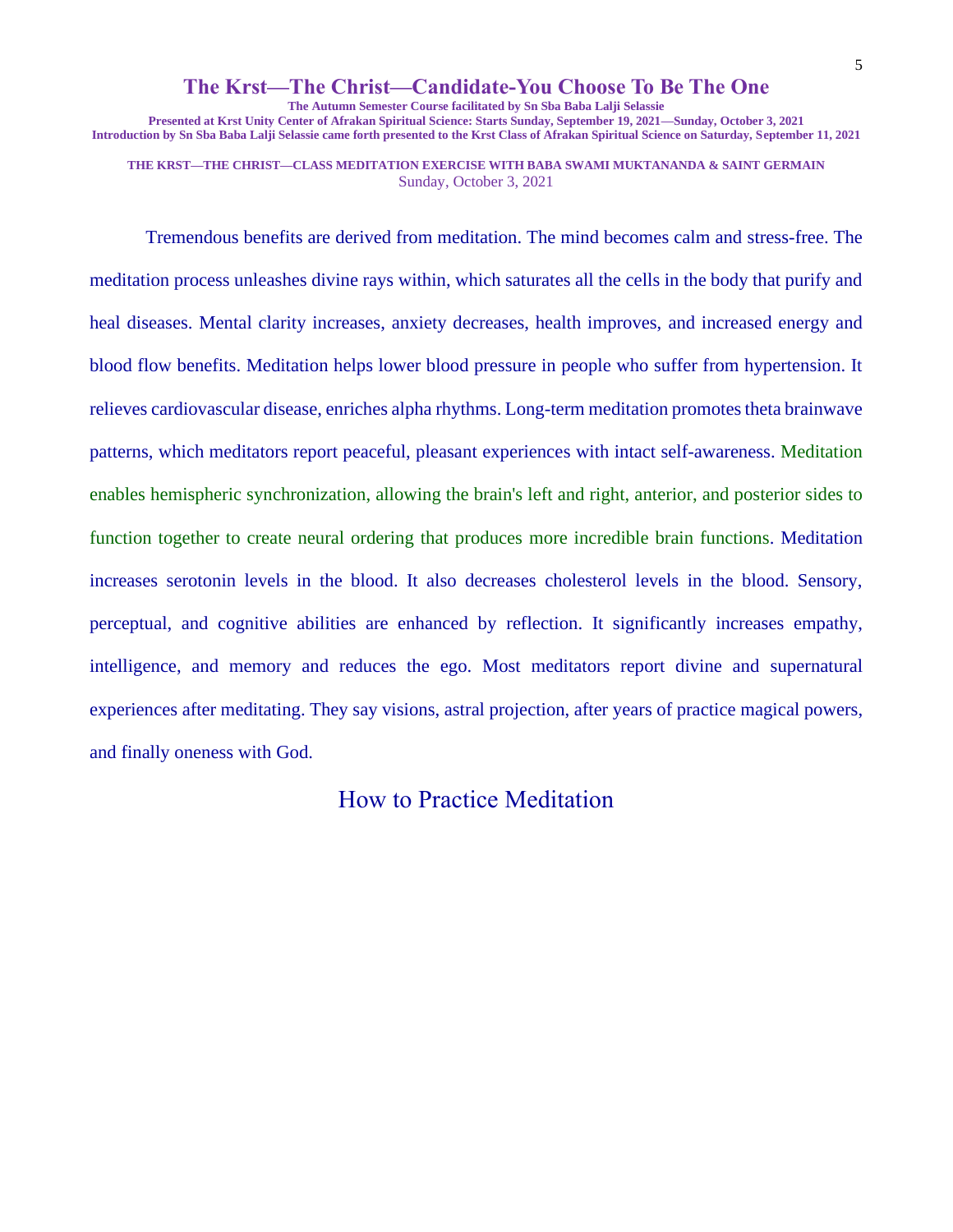#### 5

#### **The Krst—The Christ—Candidate-You Choose To Be The One**

**The Autumn Semester Course facilitated by Sn Sba Baba Lalji Selassie**

**Presented at Krst Unity Center of Afrakan Spiritual Science: Starts Sunday, September 19, 2021—Sunday, October 3, 2021 Introduction by Sn Sba Baba Lalji Selassie came forth presented to the Krst Class of Afrakan Spiritual Science on Saturday, September 11, 2021**

**THE KRST—THE CHRIST—CLASS MEDITATION EXERCISE WITH BABA SWAMI MUKTANANDA & SAINT GERMAIN** Sunday, October 3, 2021

Tremendous benefits are derived from meditation. The mind becomes calm and stress-free. The meditation process unleashes divine rays within, which saturates all the cells in the body that purify and heal diseases. Mental clarity increases, anxiety decreases, health improves, and increased energy and blood flow benefits. Meditation helps lower blood pressure in people who suffer from hypertension. It relieves cardiovascular disease, enriches alpha rhythms. Long-term meditation promotes theta brainwave patterns, which meditators report peaceful, pleasant experiences with intact self-awareness. Meditation enables hemispheric synchronization, allowing the brain's left and right, anterior, and posterior sides to function together to create neural ordering that produces more incredible brain functions. Meditation increases serotonin levels in the blood. It also decreases cholesterol levels in the blood. Sensory, perceptual, and cognitive abilities are enhanced by reflection. It significantly increases empathy, intelligence, and memory and reduces the ego. Most meditators report divine and supernatural experiences after meditating. They say visions, astral projection, after years of practice magical powers, and finally oneness with God.

How to Practice Meditation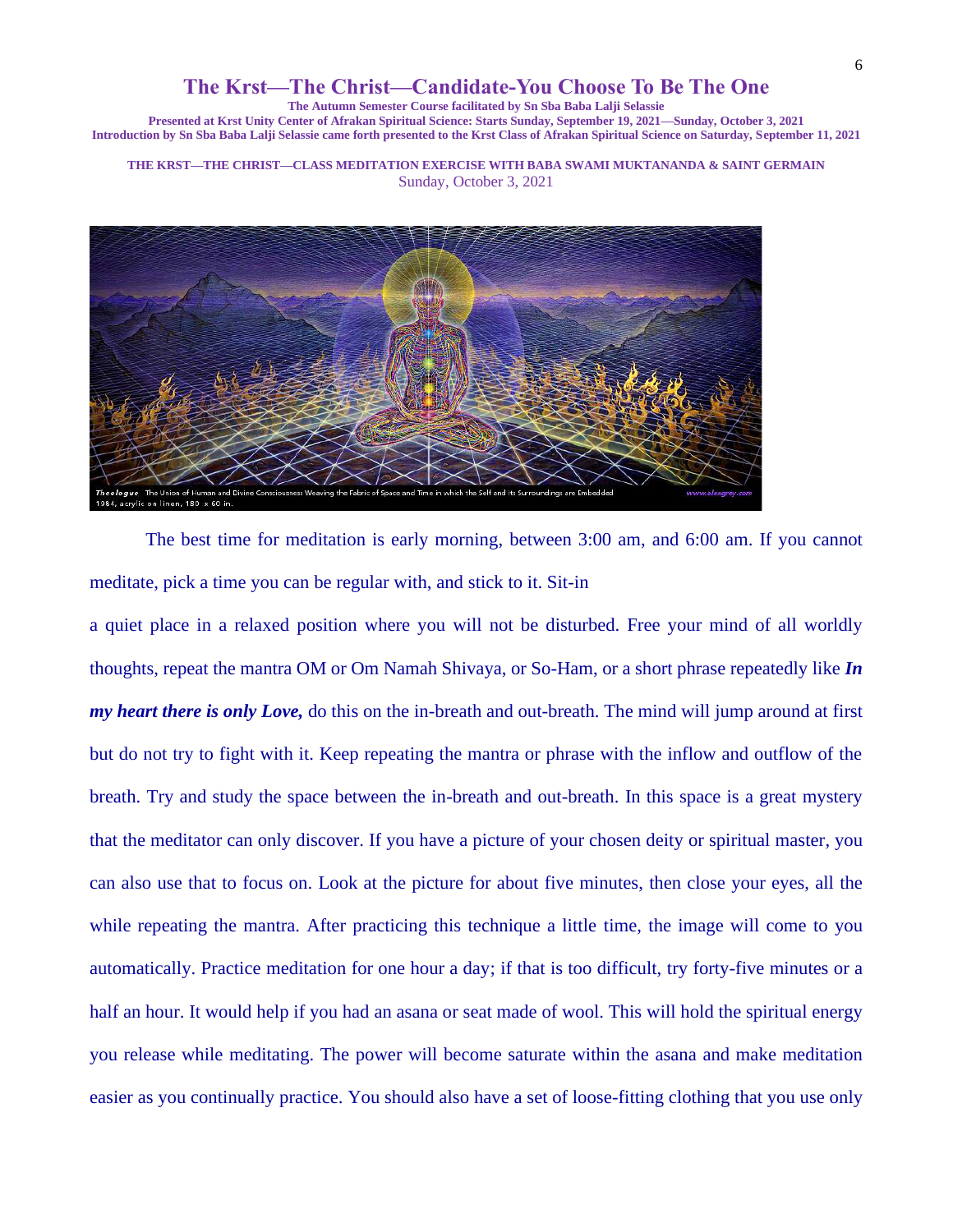**The Autumn Semester Course facilitated by Sn Sba Baba Lalji Selassie**

**Presented at Krst Unity Center of Afrakan Spiritual Science: Starts Sunday, September 19, 2021—Sunday, October 3, 2021 Introduction by Sn Sba Baba Lalji Selassie came forth presented to the Krst Class of Afrakan Spiritual Science on Saturday, September 11, 2021**

**THE KRST—THE CHRIST—CLASS MEDITATION EXERCISE WITH BABA SWAMI MUKTANANDA & SAINT GERMAIN** Sunday, October 3, 2021



The best time for meditation is early morning, between 3:00 am, and 6:00 am. If you cannot meditate, pick a time you can be regular with, and stick to it. Sit-in

a quiet place in a relaxed position where you will not be disturbed. Free your mind of all worldly thoughts, repeat the mantra OM or Om Namah Shivaya, or So-Ham, or a short phrase repeatedly like *In my heart there is only Love,* do this on the in-breath and out-breath. The mind will jump around at first but do not try to fight with it. Keep repeating the mantra or phrase with the inflow and outflow of the breath. Try and study the space between the in-breath and out-breath. In this space is a great mystery that the meditator can only discover. If you have a picture of your chosen deity or spiritual master, you can also use that to focus on. Look at the picture for about five minutes, then close your eyes, all the while repeating the mantra. After practicing this technique a little time, the image will come to you automatically. Practice meditation for one hour a day; if that is too difficult, try forty-five minutes or a half an hour. It would help if you had an asana or seat made of wool. This will hold the spiritual energy you release while meditating. The power will become saturate within the asana and make meditation easier as you continually practice. You should also have a set of loose-fitting clothing that you use only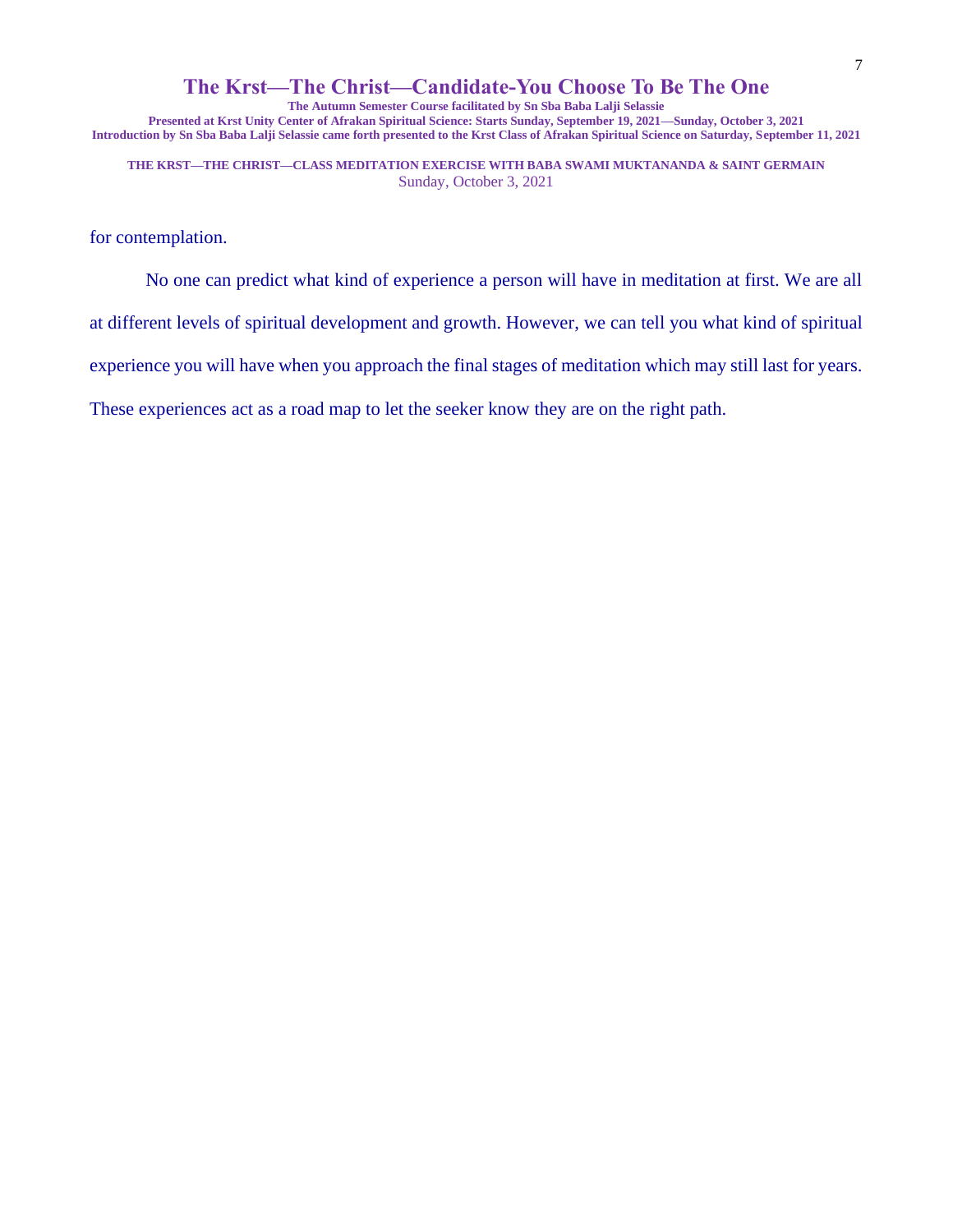**The Autumn Semester Course facilitated by Sn Sba Baba Lalji Selassie Presented at Krst Unity Center of Afrakan Spiritual Science: Starts Sunday, September 19, 2021—Sunday, October 3, 2021 Introduction by Sn Sba Baba Lalji Selassie came forth presented to the Krst Class of Afrakan Spiritual Science on Saturday, September 11, 2021**

**THE KRST—THE CHRIST—CLASS MEDITATION EXERCISE WITH BABA SWAMI MUKTANANDA & SAINT GERMAIN** Sunday, October 3, 2021

for contemplation.

No one can predict what kind of experience a person will have in meditation at first. We are all

at different levels of spiritual development and growth. However, we can tell you what kind of spiritual

experience you will have when you approach the final stages of meditation which may still last for years.

These experiences act as a road map to let the seeker know they are on the right path.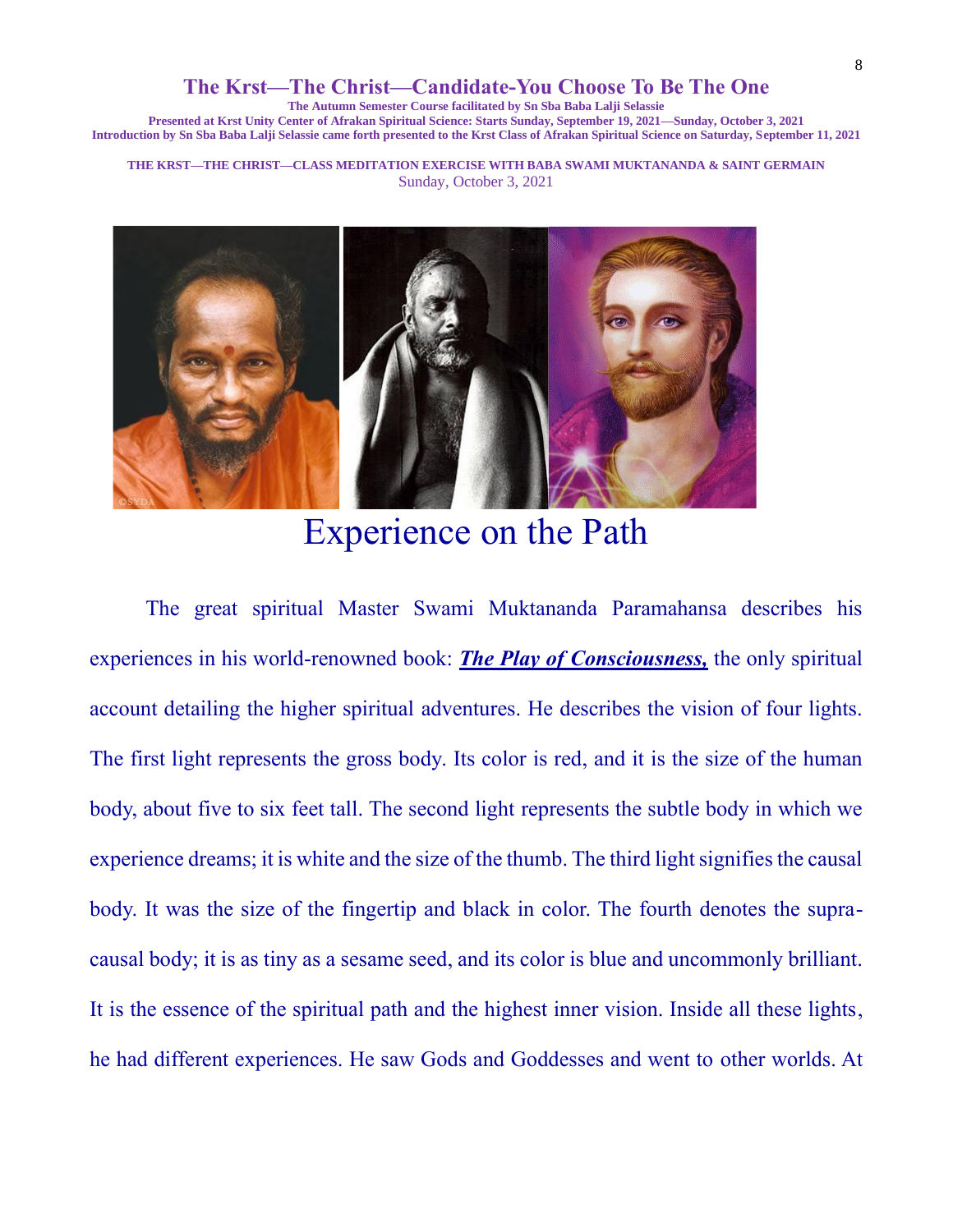**The Autumn Semester Course facilitated by Sn Sba Baba Lalji Selassie**

**Presented at Krst Unity Center of Afrakan Spiritual Science: Starts Sunday, September 19, 2021—Sunday, October 3, 2021 Introduction by Sn Sba Baba Lalji Selassie came forth presented to the Krst Class of Afrakan Spiritual Science on Saturday, September 11, 2021**

**THE KRST—THE CHRIST—CLASS MEDITATION EXERCISE WITH BABA SWAMI MUKTANANDA & SAINT GERMAIN** Sunday, October 3, 2021



Experience on the Path

The great spiritual Master Swami Muktananda Paramahansa describes his experiences in his world-renowned book: *The Play of Consciousness,* the only spiritual account detailing the higher spiritual adventures. He describes the vision of four lights. The first light represents the gross body. Its color is red, and it is the size of the human body, about five to six feet tall. The second light represents the subtle body in which we experience dreams; it is white and the size of the thumb. The third light signifies the causal body. It was the size of the fingertip and black in color. The fourth denotes the supracausal body; it is as tiny as a sesame seed, and its color is blue and uncommonly brilliant. It is the essence of the spiritual path and the highest inner vision. Inside all these lights, he had different experiences. He saw Gods and Goddesses and went to other worlds. At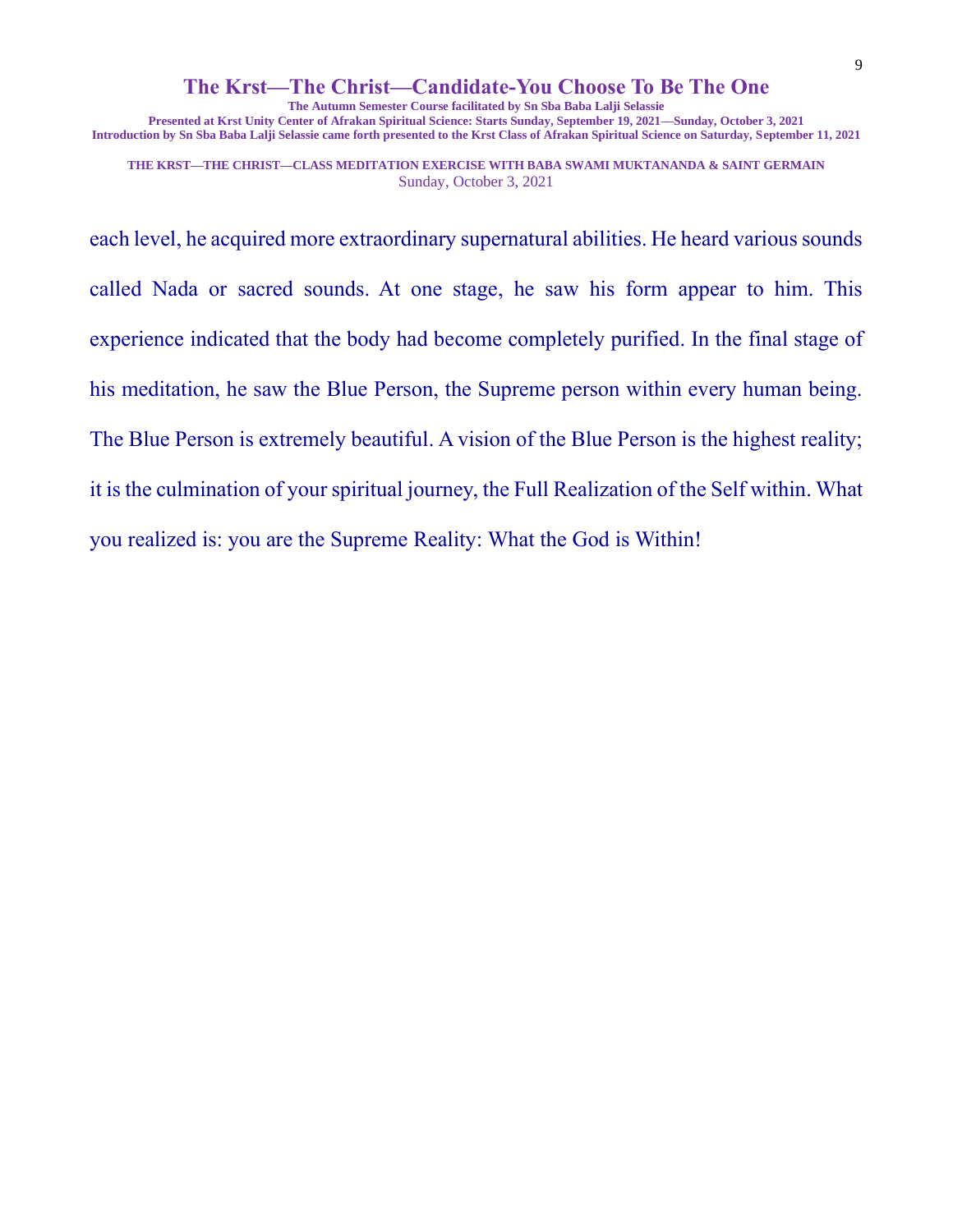**The Autumn Semester Course facilitated by Sn Sba Baba Lalji Selassie**

**Presented at Krst Unity Center of Afrakan Spiritual Science: Starts Sunday, September 19, 2021—Sunday, October 3, 2021 Introduction by Sn Sba Baba Lalji Selassie came forth presented to the Krst Class of Afrakan Spiritual Science on Saturday, September 11, 2021**

**THE KRST—THE CHRIST—CLASS MEDITATION EXERCISE WITH BABA SWAMI MUKTANANDA & SAINT GERMAIN** Sunday, October 3, 2021

each level, he acquired more extraordinary supernatural abilities. He heard various sounds called Nada or sacred sounds. At one stage, he saw his form appear to him. This experience indicated that the body had become completely purified. In the final stage of his meditation, he saw the Blue Person, the Supreme person within every human being. The Blue Person is extremely beautiful. A vision of the Blue Person is the highest reality; it is the culmination of your spiritual journey, the Full Realization of the Self within. What you realized is: you are the Supreme Reality: What the God is Within!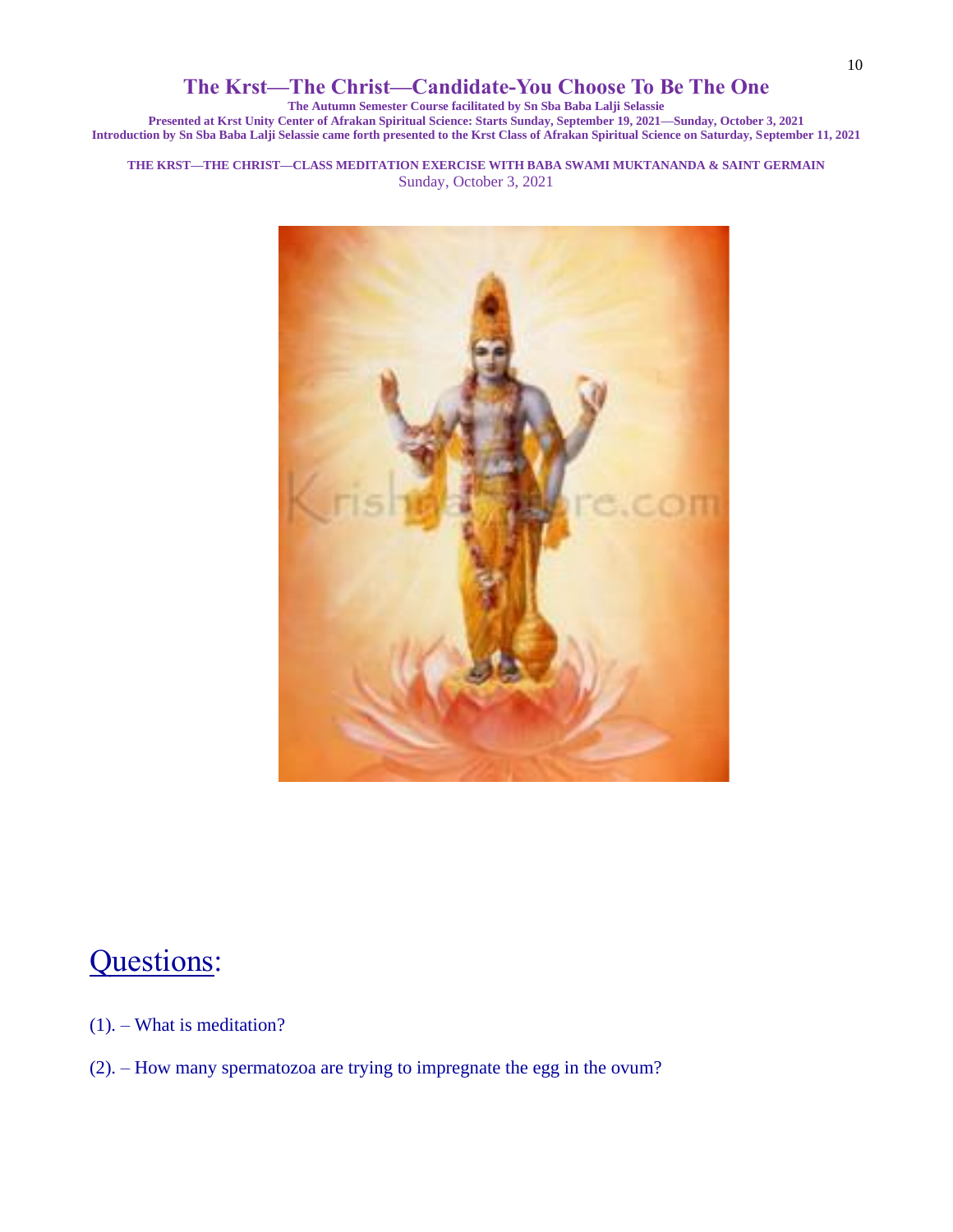**The Autumn Semester Course facilitated by Sn Sba Baba Lalji Selassie**

**Presented at Krst Unity Center of Afrakan Spiritual Science: Starts Sunday, September 19, 2021—Sunday, October 3, 2021 Introduction by Sn Sba Baba Lalji Selassie came forth presented to the Krst Class of Afrakan Spiritual Science on Saturday, September 11, 2021**

**THE KRST—THE CHRIST—CLASS MEDITATION EXERCISE WITH BABA SWAMI MUKTANANDA & SAINT GERMAIN** Sunday, October 3, 2021



# Questions:

- (1). What is meditation?
- (2). How many spermatozoa are trying to impregnate the egg in the ovum?